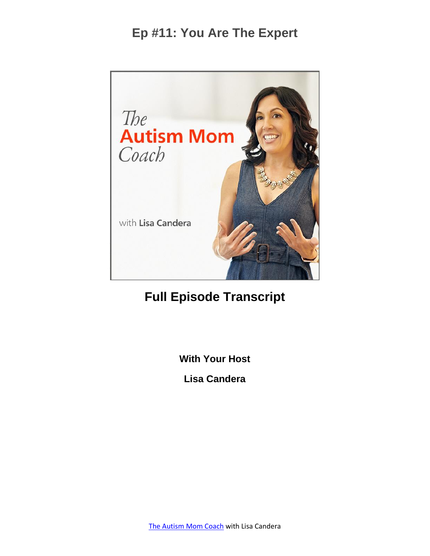

# **Full Episode Transcript**

**With Your Host**

**Lisa Candera**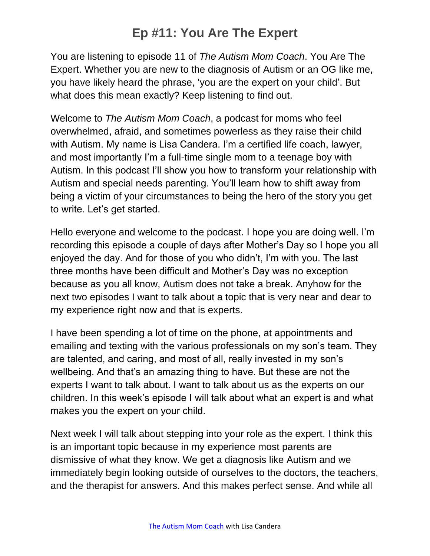You are listening to episode 11 of *The Autism Mom Coach*. You Are The Expert. Whether you are new to the diagnosis of Autism or an OG like me, you have likely heard the phrase, 'you are the expert on your child'. But what does this mean exactly? Keep listening to find out.

Welcome to *The Autism Mom Coach*, a podcast for moms who feel overwhelmed, afraid, and sometimes powerless as they raise their child with Autism. My name is Lisa Candera. I'm a certified life coach, lawyer, and most importantly I'm a full-time single mom to a teenage boy with Autism. In this podcast I'll show you how to transform your relationship with Autism and special needs parenting. You'll learn how to shift away from being a victim of your circumstances to being the hero of the story you get to write. Let's get started.

Hello everyone and welcome to the podcast. I hope you are doing well. I'm recording this episode a couple of days after Mother's Day so I hope you all enjoyed the day. And for those of you who didn't, I'm with you. The last three months have been difficult and Mother's Day was no exception because as you all know, Autism does not take a break. Anyhow for the next two episodes I want to talk about a topic that is very near and dear to my experience right now and that is experts.

I have been spending a lot of time on the phone, at appointments and emailing and texting with the various professionals on my son's team. They are talented, and caring, and most of all, really invested in my son's wellbeing. And that's an amazing thing to have. But these are not the experts I want to talk about. I want to talk about us as the experts on our children. In this week's episode I will talk about what an expert is and what makes you the expert on your child.

Next week I will talk about stepping into your role as the expert. I think this is an important topic because in my experience most parents are dismissive of what they know. We get a diagnosis like Autism and we immediately begin looking outside of ourselves to the doctors, the teachers, and the therapist for answers. And this makes perfect sense. And while all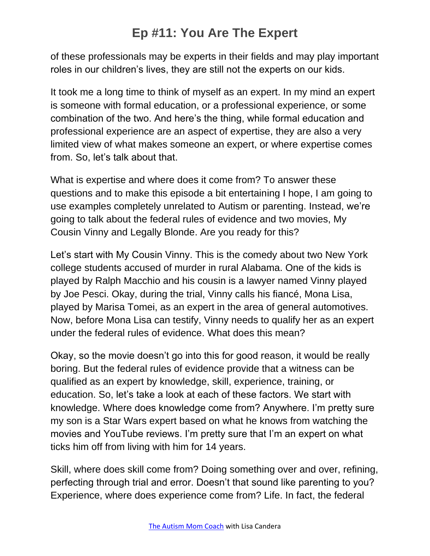of these professionals may be experts in their fields and may play important roles in our children's lives, they are still not the experts on our kids.

It took me a long time to think of myself as an expert. In my mind an expert is someone with formal education, or a professional experience, or some combination of the two. And here's the thing, while formal education and professional experience are an aspect of expertise, they are also a very limited view of what makes someone an expert, or where expertise comes from. So, let's talk about that.

What is expertise and where does it come from? To answer these questions and to make this episode a bit entertaining I hope, I am going to use examples completely unrelated to Autism or parenting. Instead, we're going to talk about the federal rules of evidence and two movies, My Cousin Vinny and Legally Blonde. Are you ready for this?

Let's start with My Cousin Vinny. This is the comedy about two New York college students accused of murder in rural Alabama. One of the kids is played by Ralph Macchio and his cousin is a lawyer named Vinny played by Joe Pesci. Okay, during the trial, Vinny calls his fiancé, Mona Lisa, played by Marisa Tomei, as an expert in the area of general automotives. Now, before Mona Lisa can testify, Vinny needs to qualify her as an expert under the federal rules of evidence. What does this mean?

Okay, so the movie doesn't go into this for good reason, it would be really boring. But the federal rules of evidence provide that a witness can be qualified as an expert by knowledge, skill, experience, training, or education. So, let's take a look at each of these factors. We start with knowledge. Where does knowledge come from? Anywhere. I'm pretty sure my son is a Star Wars expert based on what he knows from watching the movies and YouTube reviews. I'm pretty sure that I'm an expert on what ticks him off from living with him for 14 years.

Skill, where does skill come from? Doing something over and over, refining, perfecting through trial and error. Doesn't that sound like parenting to you? Experience, where does experience come from? Life. In fact, the federal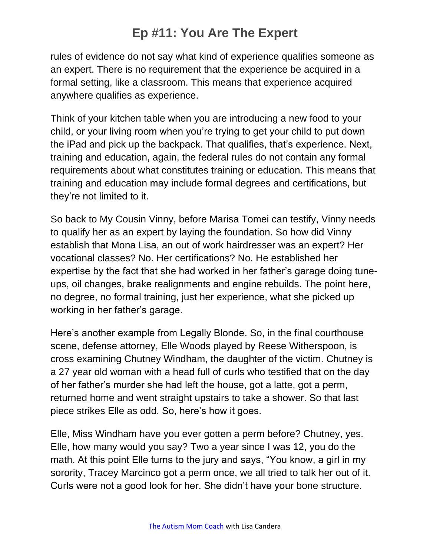rules of evidence do not say what kind of experience qualifies someone as an expert. There is no requirement that the experience be acquired in a formal setting, like a classroom. This means that experience acquired anywhere qualifies as experience.

Think of your kitchen table when you are introducing a new food to your child, or your living room when you're trying to get your child to put down the iPad and pick up the backpack. That qualifies, that's experience. Next, training and education, again, the federal rules do not contain any formal requirements about what constitutes training or education. This means that training and education may include formal degrees and certifications, but they're not limited to it.

So back to My Cousin Vinny, before Marisa Tomei can testify, Vinny needs to qualify her as an expert by laying the foundation. So how did Vinny establish that Mona Lisa, an out of work hairdresser was an expert? Her vocational classes? No. Her certifications? No. He established her expertise by the fact that she had worked in her father's garage doing tuneups, oil changes, brake realignments and engine rebuilds. The point here, no degree, no formal training, just her experience, what she picked up working in her father's garage.

Here's another example from Legally Blonde. So, in the final courthouse scene, defense attorney, Elle Woods played by Reese Witherspoon, is cross examining Chutney Windham, the daughter of the victim. Chutney is a 27 year old woman with a head full of curls who testified that on the day of her father's murder she had left the house, got a latte, got a perm, returned home and went straight upstairs to take a shower. So that last piece strikes Elle as odd. So, here's how it goes.

Elle, Miss Windham have you ever gotten a perm before? Chutney, yes. Elle, how many would you say? Two a year since I was 12, you do the math. At this point Elle turns to the jury and says, "You know, a girl in my sorority, Tracey Marcinco got a perm once, we all tried to talk her out of it. Curls were not a good look for her. She didn't have your bone structure.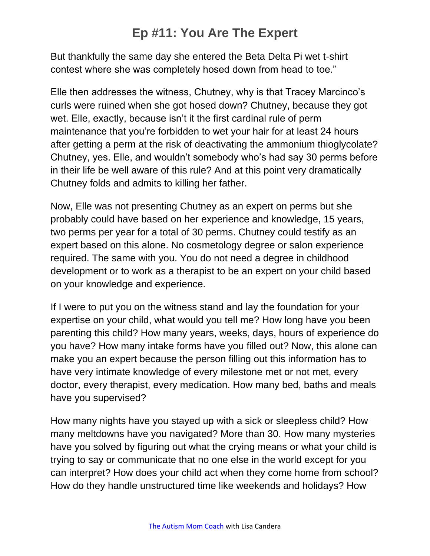But thankfully the same day she entered the Beta Delta Pi wet t-shirt contest where she was completely hosed down from head to toe."

Elle then addresses the witness, Chutney, why is that Tracey Marcinco's curls were ruined when she got hosed down? Chutney, because they got wet. Elle, exactly, because isn't it the first cardinal rule of perm maintenance that you're forbidden to wet your hair for at least 24 hours after getting a perm at the risk of deactivating the ammonium thioglycolate? Chutney, yes. Elle, and wouldn't somebody who's had say 30 perms before in their life be well aware of this rule? And at this point very dramatically Chutney folds and admits to killing her father.

Now, Elle was not presenting Chutney as an expert on perms but she probably could have based on her experience and knowledge, 15 years, two perms per year for a total of 30 perms. Chutney could testify as an expert based on this alone. No cosmetology degree or salon experience required. The same with you. You do not need a degree in childhood development or to work as a therapist to be an expert on your child based on your knowledge and experience.

If I were to put you on the witness stand and lay the foundation for your expertise on your child, what would you tell me? How long have you been parenting this child? How many years, weeks, days, hours of experience do you have? How many intake forms have you filled out? Now, this alone can make you an expert because the person filling out this information has to have very intimate knowledge of every milestone met or not met, every doctor, every therapist, every medication. How many bed, baths and meals have you supervised?

How many nights have you stayed up with a sick or sleepless child? How many meltdowns have you navigated? More than 30. How many mysteries have you solved by figuring out what the crying means or what your child is trying to say or communicate that no one else in the world except for you can interpret? How does your child act when they come home from school? How do they handle unstructured time like weekends and holidays? How